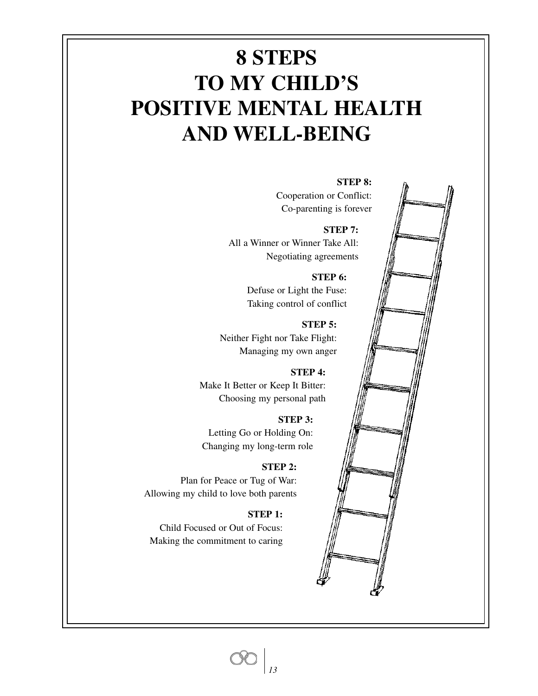# **8 STEPS TO MY CHILD'S POSITIVE MENTAL HEALTH AND WELL-BEING**

Cooperation or Conflict: Co-parenting is forever

**STEP 7:** All a Winner or Winner Take All: Negotiating agreements

> **STEP 6:** Defuse or Light the Fuse: Taking control of conflict

**STEP 5:** Neither Fight nor Take Flight: Managing my own anger

**STEP 4:** Make It Better or Keep It Bitter: Choosing my personal path

**STEP 3:** Letting Go or Holding On: Changing my long-term role

#### **STEP 2:**

Plan for Peace or Tug of War: Allowing my child to love both parents

#### **STEP 1:**

Child Focused or Out of Focus: Making the commitment to caring

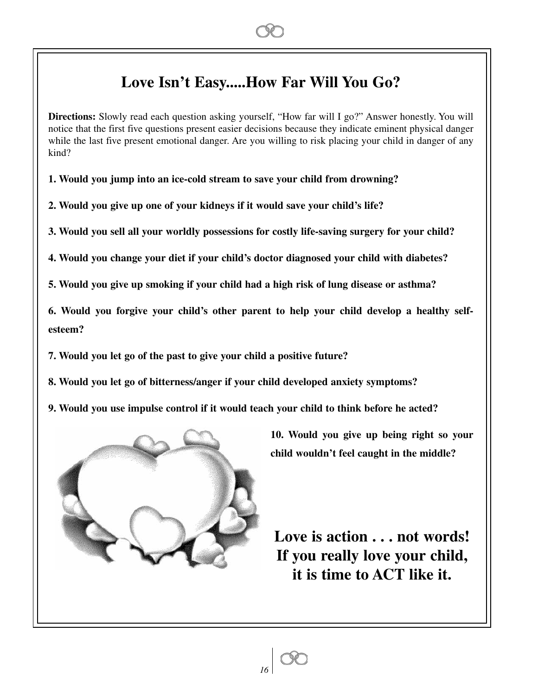# **Love Isn't Easy.....How Far Will You Go?**

**Directions:** Slowly read each question asking yourself, "How far will I go?" Answer honestly. You will notice that the first five questions present easier decisions because they indicate eminent physical danger while the last five present emotional danger. Are you willing to risk placing your child in danger of any kind?

**1. Would you jump into an ice-cold stream to save your child from drowning?**

**2. Would you give up one of your kidneys if it would save your child's life?**

**3. Would you sell all your worldly possessions for costly life-saving surgery for your child?** 

**4. Would you change your diet if your child's doctor diagnosed your child with diabetes?**

**5. Would you give up smoking if your child had a high risk of lung disease or asthma?**

**6. Would you forgive your child's other parent to help your child develop a healthy selfesteem?**

**7. Would you let go of the past to give your child a positive future?**

**8. Would you let go of bitterness/anger if your child developed anxiety symptoms?**

**9. Would you use impulse control if it would teach your child to think before he acted?**

*16*



**10. Would you give up being right so your child wouldn't feel caught in the middle?**

**Love is action . . . not words! If you really love your child, it is time to ACT like it.**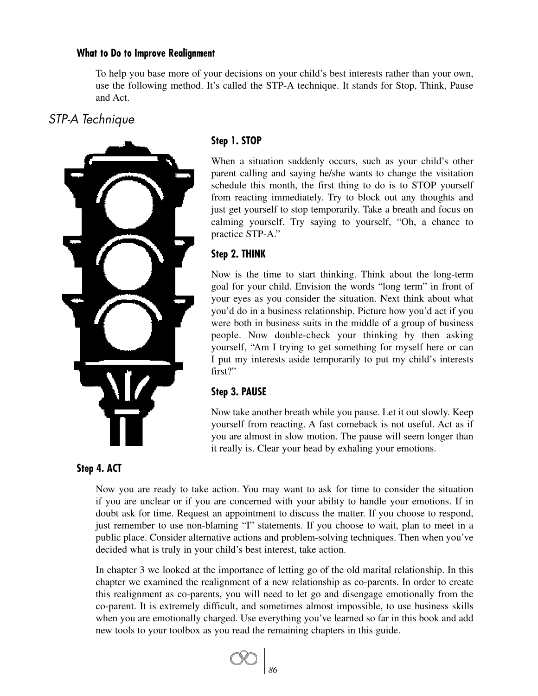#### **What to Do to Improve Realignment**

To help you base more of your decisions on your child's best interests rather than your own, use the following method. It's called the STP-A technique. It stands for Stop, Think, Pause and Act.

# *STP-A Technique*



# **Step 1. STOP**

When a situation suddenly occurs, such as your child's other parent calling and saying he/she wants to change the visitation schedule this month, the first thing to do is to STOP yourself from reacting immediately. Try to block out any thoughts and just get yourself to stop temporarily. Take a breath and focus on calming yourself. Try saying to yourself, "Oh, a chance to practice STP-A."

# **Step 2. THINK**

Now is the time to start thinking. Think about the long-term goal for your child. Envision the words "long term" in front of your eyes as you consider the situation. Next think about what you'd do in a business relationship. Picture how you'd act if you were both in business suits in the middle of a group of business people. Now double-check your thinking by then asking yourself, "Am I trying to get something for myself here or can I put my interests aside temporarily to put my child's interests first?"

# **Step 3. PAUSE**

Now take another breath while you pause. Let it out slowly. Keep yourself from reacting. A fast comeback is not useful. Act as if you are almost in slow motion. The pause will seem longer than it really is. Clear your head by exhaling your emotions.

### **Step 4. ACT**

Now you are ready to take action. You may want to ask for time to consider the situation if you are unclear or if you are concerned with your ability to handle your emotions. If in doubt ask for time. Request an appointment to discuss the matter. If you choose to respond, just remember to use non-blaming "I" statements. If you choose to wait, plan to meet in a public place. Consider alternative actions and problem-solving techniques. Then when you've decided what is truly in your child's best interest, take action.

In chapter 3 we looked at the importance of letting go of the old marital relationship. In this chapter we examined the realignment of a new relationship as co-parents. In order to create this realignment as co-parents, you will need to let go and disengage emotionally from the co-parent. It is extremely difficult, and sometimes almost impossible, to use business skills when you are emotionally charged. Use everything you've learned so far in this book and add new tools to your toolbox as you read the remaining chapters in this guide.